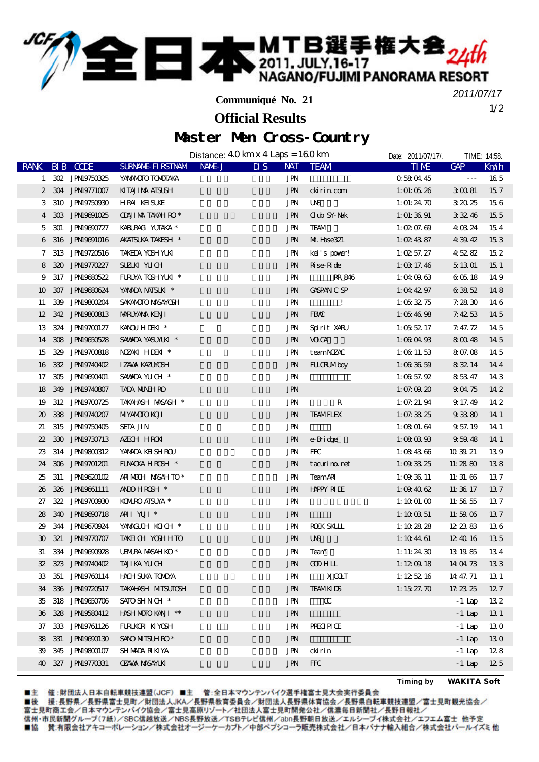**二本 MTB選手権大会**24th  $\mathbb{Z}^n$ 

**Communiqué No. 21**

1/2 *2011/07/17*

## **Official Results**

## Master Men Cross-Country

|                             |                    |                           | Distance: $40 \text{ km} \times 4 \text{ Laps} = 160 \text{ km}$ |                                                 |                   | Date: 2011/07/17/.   | TIME: 14:58.         |      |
|-----------------------------|--------------------|---------------------------|------------------------------------------------------------------|-------------------------------------------------|-------------------|----------------------|----------------------|------|
| <b>RANK</b>                 | <b>BIB</b> CODE    | SURNAME FIRSTNAM NAME J   |                                                                  | <b>NAT</b><br>$\overline{\mathbf{u}}\mathbf{s}$ | <b>TEAM</b>       | <b>TIME</b>          | GAP                  | Km/h |
|                             | 1 302 JPN19750325  | YANANOIO TOMOTAKA         |                                                                  | JPN                                             |                   | 0580445              | $\sim$ $\sim$ $\sim$ | 165  |
|                             | 2 304 JPN19771007  | KITAJI NA ATSUSH          |                                                                  | <b>JPN</b>                                      | cki ri n com      | 1: 01: 05 $26$       | 30081                | 157  |
| 3                           | 310 JPN19750930    | <b>HRA KEISUKE</b>        |                                                                  | JPN                                             | <b>UNS</b>        | 1: 01: 24 $70$       | 32025                | 156  |
| $\overline{4}$              | 303 JPN9691025     | <b>ODUI MA TAKAH RO*</b>  |                                                                  | <b>JPN</b>                                      | <b>Oub SY Nak</b> | 1: 01: 36 $91$       | 33246                | 15 5 |
| 5                           | 301 JPN19690727    | KABURACI YUTAKA *         |                                                                  | <b>JPN</b>                                      | <b>TEAM</b>       | 1: $@{2}$ 07. $@{9}$ | 4 03 24              | 154  |
| 6                           | 316 JPN19691016    | <b>AKATSUKA TAKESH *</b>  |                                                                  | <b>JPN</b>                                      | M. Hase321        | 1: $@24387$          | 43942                | 153  |
| 7                           | 313 JPN19720516    | <b>TAKEDA YOSH YUKI</b>   |                                                                  | JPN                                             | kei's pover!      | 1: 02 57. 27         | 45282                | 152  |
| 8                           | 320 JPN9770227     | SUZUN YUCH                |                                                                  | <b>JPN</b>                                      | Rise Ride         | 1: $\times$ 17.46    | 5 13 01              | 151  |
| 9                           | 317 JPN19680522    | FURUYA TOSH YUKI *        |                                                                  | <b>JPN</b>                                      | RR 846            | 1:040963             | 60518                | 149  |
| 10                          | 307 JPN19680624    | YANADA NATSUKI *          |                                                                  | <b>JPN</b>                                      | <b>CASPANCSP</b>  | 1:04 $4297$          | 63852                | 148  |
| 11                          | 339 JPN19800204    | SAKANOTO MASANOSH         |                                                                  | JPN                                             | $\mathbf{I}$      | 1:05 $32.75$         | 7.2830               | 146  |
| 12                          | 342 JPN9800813     | MARUYANA KENJI            |                                                                  | <b>JPN</b>                                      | FBW               | 1:054698             | 7.4253               | 14 5 |
| 13                          | 324 JPN9700127     | KANOUH IDENT *            |                                                                  | JPN                                             | Spirit XARU       | 1:055217             | 7.47.72              | 14 5 |
| 14                          | 308 JPN19650528    | SAWDA YASUMUKI *          |                                                                  | <b>JPN</b>                                      | <b>VOCA</b>       | 1:08 04 $93$         | 8 00 48              | 14 5 |
| 15                          | 329 JPN19700818    | NZANIHIDENI *             |                                                                  | <b>JPN</b>                                      | teamNZAC          | 1:0611.53            | 8 07.08              | 14 5 |
| 16                          | 332 JPN19740402    | <b>IZAWA KAZUNOSH</b>     |                                                                  | <b>JPN</b>                                      | <b>FLLORLMboy</b> | 1:003659             | 83214                | 144  |
| 17                          | 305 JPN19690401    | SAWDA YUCH *              |                                                                  | <b>JPN</b>                                      |                   | 1:00357.92           | 85347                | 14 3 |
| 18                          | 349 JPN19740807    | <b>TADA MUNHRO</b>        |                                                                  | <b>JPN</b>                                      |                   | 1: 07: 09 $20$       | 90475                | 14 2 |
| 19                          | 312 JPN9700725     | TAKAHNSH MASASH *         |                                                                  | JPN                                             | R                 | 1:07:21.94           | 9 17 49              | 14 2 |
| $\boldsymbol{\mathfrak{D}}$ | 338 JPN19740207    | <b>MIYAMOIO KOJI</b>      |                                                                  | <b>JPN</b>                                      | <b>TEAMFLEX</b>   | 1:07.38 $25$         | 93380                | 14 1 |
| 21                          | 315 JPN19750405    | <b>SETA JIN</b>           |                                                                  | JPN                                             |                   | 1:08 01.64           | 9 57 19              | 14 1 |
| 22                          | 330 JPN9730713     | AZECH HROKI               |                                                                  | <b>JPN</b>                                      | e-Bridge          | 1:080393             | 95948                | 14 1 |
| 23                          | 314 JPN19800312    | YANADA KEISH ROU          |                                                                  | JPN                                             | <b>FFC</b>        | 1:08 43 $66$         | 103921               | 139  |
| 24                          | 306 JPN9701201     | FUNCKA HROSH *            |                                                                  | <b>JPN</b>                                      | tacurino.net      | 1: $093325$          | 11:2880              | 138  |
| 25                          | 311 JPN19620102    | ARIMOUH MASAHTO*          |                                                                  | <b>JPN</b>                                      | <b>TeamAR</b>     | 1:093611             | 11:31.66             | 137  |
| 26                          | 326 JPN9661111     | ANDHROH <sup>*</sup>      |                                                                  | <b>JPN</b>                                      | <b>HAPPY RILE</b> | 1:09 40 62           | 11:36 17             | 137  |
| 27                          | 322 JPN19700930    | <b>KOMPO AISUYA *</b>     |                                                                  | JPN                                             |                   | 1:1001.00            | 11:56 55             | 137  |
| 28                          | 340 JPN19690718    | ARI YUII <sup>*</sup>     |                                                                  | <b>JPN</b>                                      |                   | 1: $10 \times 51$    | 11:5906              | 137  |
| 29                          | 344 JPN19670924    | YAMGUCH KOCH *            |                                                                  | <b>JPN</b>                                      | <b>ROCK SKLLL</b> | 1:10 $2828$          | 12 23 83             | 136  |
| 30 <sup>2</sup>             | 321 JPN19770707    | TAKEICH YOSHHTO           |                                                                  | <b>JPN</b>                                      | <b>UNS</b>        | 1: $10\ 44\ 61$      | 12 40 16             | 135  |
| 31                          | 334 JPN19690928    | <b>UENIRA MASAH KO*</b>   |                                                                  | JPN                                             | Team              | 1: 11: $2430$        | 13 19 85             | 134  |
|                             | 32 323 JPN9740402  | TAJIKA YUCH               |                                                                  | JPN                                             | <b>COHLL</b>      | 1:12 $@$ 18          | 14 04 73             | 133  |
|                             | 33 351 JPN9760114  | <b>HAH SUKA TOMOYA</b>    |                                                                  | JPN                                             | X <sub>AT</sub>   | 1:125216             | 14 47.71             | 13 1 |
| 34                          | 336 JPN9720517     | <b>TAKAHNSH MITSUTOSH</b> |                                                                  | <b>JPN</b>                                      | <b>TEAMKIDS</b>   | 1: $1527.70$         | 17.23.25             | 127  |
| 35                          | 318 JPN19650706    | SATO SHN CH <sup>*</sup>  |                                                                  | <b>JPN</b>                                      | $\alpha$          |                      | $-1$ Lap             | 132  |
| 36                          | 328 JPN9580412     | HASH MOTO KANI **         |                                                                  | JPN                                             |                   |                      | $-1$ Lap             | 131  |
| 37                          | 333 JPN19761126    | FURUKDE KIYOSH            |                                                                  | JPN                                             | PRECIPICE         |                      | $-1$ Lap             | 130  |
| 38                          | 331 JPN19690130    | SANO MITSUH RO*           |                                                                  | JPN                                             |                   |                      | $-1$ Lap             | 130  |
| 39                          | 345 JPN19800107    | <b>SHAMOA RIKIYA</b>      |                                                                  | JPN                                             | ckirin            |                      | $-1$ Lap             | 128  |
|                             | 40 327 JPN19770331 | <b>OZAVAX NASAYLKI</b>    |                                                                  | <b>JPN</b>                                      | <b>FFC</b>        |                      | $-1$ Lap             | 125  |
|                             |                    |                           |                                                                  |                                                 |                   |                      |                      |      |

■主 催 :財団法人日本自転車競技連盟(JCF)■主 管 :全日本マウンテンバイク選手権富士見大会実行委員会<br>■後 援:長野県/長野県富士見町/財団法人JKA/長野県教育委員会/財団法人長野県体育協会/長野県自転車競技連盟/富士見町観光協会/<br>富士見町商工会/日本マウンテンバイク協会/富士見高原リゾート/社団法人富士見町開発公社/信濃毎日新聞社/長野日報社/

信州·市民新聞グループ(7紙)/SBC信越放送/NBS長野放送/TSBテレビ信州/abn長野朝日放送/エルシーブイ株式会社/エフエム富士 他予定 ■協 賛:有限会社アキコーポレーション/株式会社オージーケーカブト/中部ペプシコーラ販売株式会社/日本バナナ輸入組合/株式会社パールイズミ他